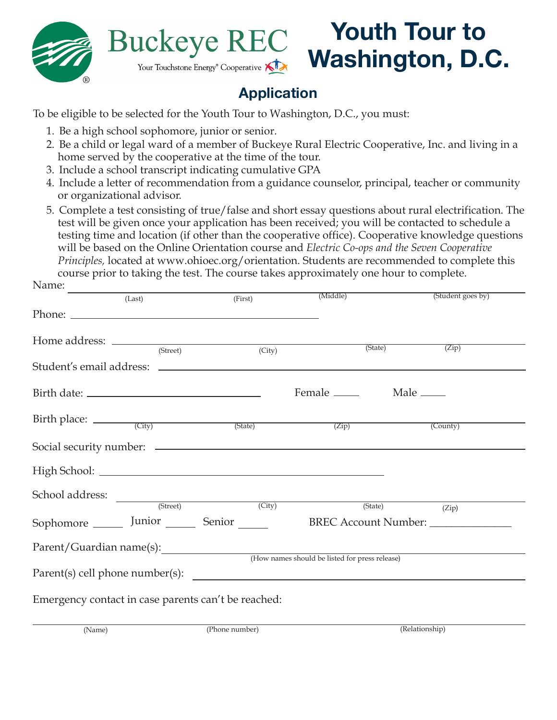

N<sub>amo</sub>.

## **Youth Tour to Buckeye REC Washington, D.C.** Your Touchstone Energy<sup>®</sup> Cooperative

## **Application**

To be eligible to be selected for the Youth Tour to Washington, D.C., you must:

- 1. Be a high school sophomore, junior or senior.
- 2. Be a child or legal ward of a member of Buckeye Rural Electric Cooperative, Inc. and living in a home served by the cooperative at the time of the tour.
- 3. Include a school transcript indicating cumulative GPA
- 4. Include a letter of recommendation from a guidance counselor, principal, teacher or community or organizational advisor.
- 5. Complete a test consisting of true/false and short essay questions about rural electrification. The test will be given once your application has been received; you will be contacted to schedule a testing time and location (if other than the cooperative office). Cooperative knowledge questions will be based on the Online Orientation course and *Electric Co-ops and the Seven Cooperative Principles,* located at www.ohioec.org/orientation. Students are recommended to complete this course prior to taking the test. The course takes approximately one hour to complete.

| TVAILLE.                                            |          |                                                                                                                                                                                                      |                                                |                                          |  |
|-----------------------------------------------------|----------|------------------------------------------------------------------------------------------------------------------------------------------------------------------------------------------------------|------------------------------------------------|------------------------------------------|--|
|                                                     | (Last)   | (First)                                                                                                                                                                                              | (Middle)                                       | (Student goes by)                        |  |
|                                                     |          |                                                                                                                                                                                                      |                                                |                                          |  |
|                                                     |          |                                                                                                                                                                                                      |                                                |                                          |  |
|                                                     | (Street) | (City)                                                                                                                                                                                               | (State)                                        | (Zip)                                    |  |
|                                                     |          |                                                                                                                                                                                                      |                                                |                                          |  |
|                                                     |          |                                                                                                                                                                                                      |                                                |                                          |  |
| Birth place: $\frac{City}{(City)}$ (State)          |          |                                                                                                                                                                                                      | $\overline{(Zip)}$                             | (County)                                 |  |
|                                                     |          |                                                                                                                                                                                                      |                                                |                                          |  |
|                                                     |          |                                                                                                                                                                                                      |                                                |                                          |  |
|                                                     |          | $\begin{tabular}{c} School address: \end{tabular} \begin{tabular}{c} \hspace{0.00cm} \textbf{(Street)} \end{tabular} \begin{tabular}{c} \hspace{0.00cm} \textbf{(City)} \end{tabular} \end{tabular}$ |                                                |                                          |  |
|                                                     |          | Sophomore _______ Junior ________ Senior ______                                                                                                                                                      |                                                | (State)<br>(Zip)<br>BREC Account Number: |  |
| Parent/Guardian name(s):                            |          |                                                                                                                                                                                                      |                                                |                                          |  |
|                                                     |          |                                                                                                                                                                                                      | (How names should be listed for press release) |                                          |  |
|                                                     |          |                                                                                                                                                                                                      |                                                |                                          |  |
| Emergency contact in case parents can't be reached: |          |                                                                                                                                                                                                      |                                                |                                          |  |